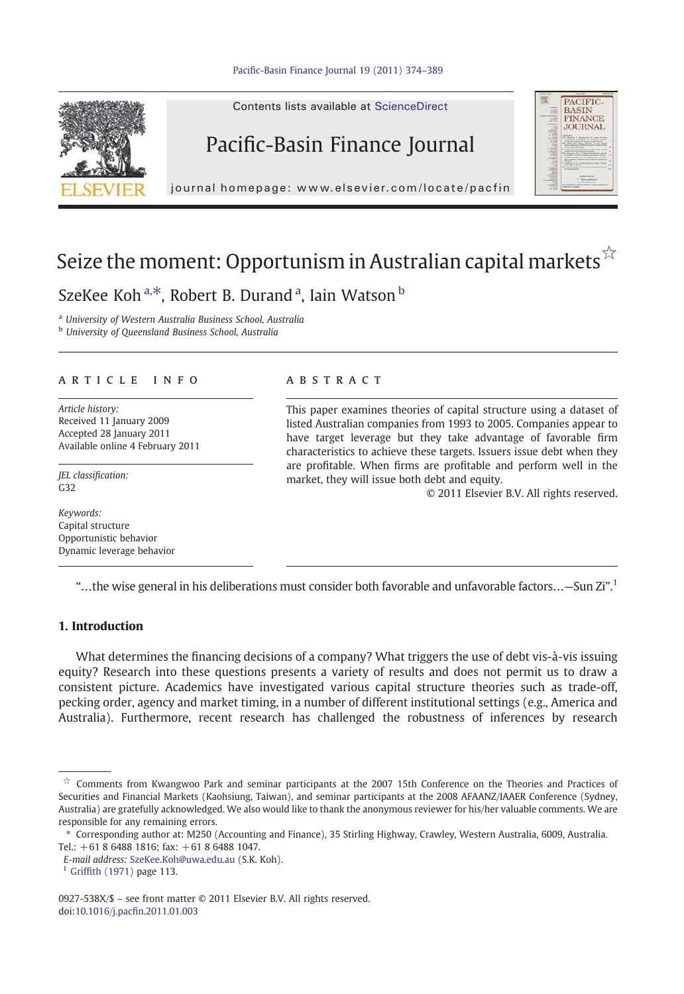

Contents lists available at ScienceDirect

# Pacific-Basin Finance Journal



journal homepage: www.elsevier.com/locate/pacfin

# Seize the moment: Opportunism in Australian capital markets $\hat{X}$

## SzeKee Koh<sup>a,\*</sup>, Robert B. Durand<sup>a</sup>, Iain Watson b

<sup>a</sup> University of Western Australia Business School, Australia

**b** University of Queensland Business School, Australia

## article info abstract

Article history: Received 11 January 2009 Accepted 28 January 2011 Available online 4 February 2011

JEL classification: G32

Keywords: Capital structure Opportunistic behavior Dynamic leverage behavior

This paper examines theories of capital structure using a dataset of listed Australian companies from 1993 to 2005. Companies appear to have target leverage but they take advantage of favorable firm characteristics to achieve these targets. Issuers issue debt when they are profitable. When firms are profitable and perform well in the market, they will issue both debt and equity.

© 2011 Elsevier B.V. All rights reserved.

"…the wise general in his deliberations must consider both favorable and unfavorable factors…—Sun Zi". 1

## 1. Introduction

What determines the financing decisions of a company? What triggers the use of debt vis-à-vis issuing equity? Research into these questions presents a variety of results and does not permit us to draw a consistent picture. Academics have investigated various capital structure theories such as trade-off, pecking order, agency and market timing, in a number of different institutional settings (e.g., America and Australia). Furthermore, recent research has challenged the robustness of inferences by research

0927-538X/\$ – see front matter © 2011 Elsevier B.V. All rights reserved. doi:10.1016/j.pacfi[n.2011.01.003](http://dx.doi.org/10.1016/j.pacfin.2011.01.003)

 $\dot{\tilde{x}}$  Comments from Kwangwoo Park and seminar participants at the 2007 15th Conference on the Theories and Practices of Securities and Financial Markets (Kaohsiung, Taiwan), and seminar participants at the 2008 AFAANZ/IAAER Conference (Sydney, Australia) are gratefully acknowledged. We also would like to thank the anonymous reviewer for his/her valuable comments. We are responsible for any remaining errors.

<sup>⁎</sup> Corresponding author at: M250 (Accounting and Finance), 35 Stirling Highway, Crawley, Western Australia, 6009, Australia. Tel.: +61 8 6488 1816; fax: +61 8 6488 1047.

E-mail address: [SzeKee.Koh@uwa.edu.au](mailto:SzeKee.Koh@uwa.edu.au) (S.K. Koh).

<sup>1</sup> Griffi[th \(1971\)](#page--1-0) page 113.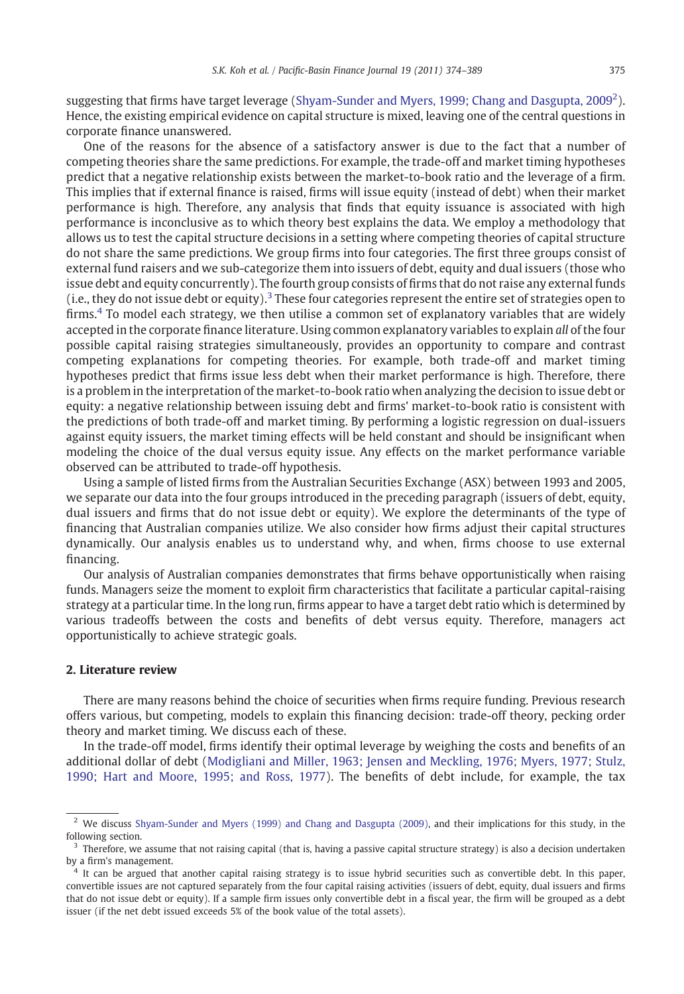suggesting that firms have target leverage ([Shyam-Sunder and Myers, 1999; Chang and Dasgupta, 2009](#page--1-0)<sup>2</sup>). Hence, the existing empirical evidence on capital structure is mixed, leaving one of the central questions in corporate finance unanswered.

One of the reasons for the absence of a satisfactory answer is due to the fact that a number of competing theories share the same predictions. For example, the trade-off and market timing hypotheses predict that a negative relationship exists between the market-to-book ratio and the leverage of a firm. This implies that if external finance is raised, firms will issue equity (instead of debt) when their market performance is high. Therefore, any analysis that finds that equity issuance is associated with high performance is inconclusive as to which theory best explains the data. We employ a methodology that allows us to test the capital structure decisions in a setting where competing theories of capital structure do not share the same predictions. We group firms into four categories. The first three groups consist of external fund raisers and we sub-categorize them into issuers of debt, equity and dual issuers (those who issue debt and equity concurrently). The fourth group consists of firms that do not raise any external funds (i.e., they do not issue debt or equity).<sup>3</sup> These four categories represent the entire set of strategies open to firms. $4$  To model each strategy, we then utilise a common set of explanatory variables that are widely accepted in the corporate finance literature. Using common explanatory variables to explain all of the four possible capital raising strategies simultaneously, provides an opportunity to compare and contrast competing explanations for competing theories. For example, both trade-off and market timing hypotheses predict that firms issue less debt when their market performance is high. Therefore, there is a problem in the interpretation of the market-to-book ratio when analyzing the decision to issue debt or equity: a negative relationship between issuing debt and firms' market-to-book ratio is consistent with the predictions of both trade-off and market timing. By performing a logistic regression on dual-issuers against equity issuers, the market timing effects will be held constant and should be insignificant when modeling the choice of the dual versus equity issue. Any effects on the market performance variable observed can be attributed to trade-off hypothesis.

Using a sample of listed firms from the Australian Securities Exchange (ASX) between 1993 and 2005, we separate our data into the four groups introduced in the preceding paragraph (issuers of debt, equity, dual issuers and firms that do not issue debt or equity). We explore the determinants of the type of financing that Australian companies utilize. We also consider how firms adjust their capital structures dynamically. Our analysis enables us to understand why, and when, firms choose to use external financing.

Our analysis of Australian companies demonstrates that firms behave opportunistically when raising funds. Managers seize the moment to exploit firm characteristics that facilitate a particular capital-raising strategy at a particular time. In the long run, firms appear to have a target debt ratio which is determined by various tradeoffs between the costs and benefits of debt versus equity. Therefore, managers act opportunistically to achieve strategic goals.

## 2. Literature review

There are many reasons behind the choice of securities when firms require funding. Previous research offers various, but competing, models to explain this financing decision: trade-off theory, pecking order theory and market timing. We discuss each of these.

In the trade-off model, firms identify their optimal leverage by weighing the costs and benefits of an additional dollar of debt ([Modigliani and Miller, 1963; Jensen and Meckling, 1976; Myers, 1977; Stulz,](#page--1-0) [1990; Hart and Moore, 1995; and Ross, 1977\)](#page--1-0). The benefits of debt include, for example, the tax

<sup>&</sup>lt;sup>2</sup> We discuss [Shyam-Sunder and Myers \(1999\) and Chang and Dasgupta \(2009\)](#page--1-0), and their implications for this study, in the following section.

 $3$  Therefore, we assume that not raising capital (that is, having a passive capital structure strategy) is also a decision undertaken by a firm's management.

<sup>&</sup>lt;sup>4</sup> It can be argued that another capital raising strategy is to issue hybrid securities such as convertible debt. In this paper, convertible issues are not captured separately from the four capital raising activities (issuers of debt, equity, dual issuers and firms that do not issue debt or equity). If a sample firm issues only convertible debt in a fiscal year, the firm will be grouped as a debt issuer (if the net debt issued exceeds 5% of the book value of the total assets).